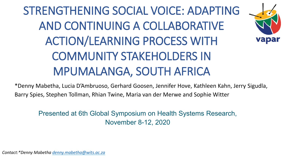# STRENGTHENING SOCIAL VOICE: ADAPTING AND CONTINUING A COLLABORATIVE ACTION/LEARNING PROCESS WITH COMMUNITY STAKEHOLDERS IN MPUMALANGA, SOUTH AFRICA



\*Denny Mabetha, Lucia D'Ambruoso, Gerhard Goosen, Jennifer Hove, Kathleen Kahn, Jerry Sigudla, Barry Spies, Stephen Tollman, Rhian Twine, Maria van der Merwe and Sophie Witter

Presented at 6th Global Symposium on Health Systems Research, November 8-12, 2020

*Contact:\*Denny Mabetha [denny.mabetha@wits.ac.za](mailto:denny.mabetha@wits.ac.za)*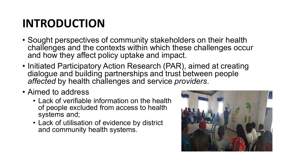## **INTRODUCTION**

- Sought perspectives of community stakeholders on their health challenges and the contexts within which these challenges occur and how they affect policy uptake and impact.
- Initiated Participatory Action Research (PAR), aimed at creating dialogue and building partnerships and trust between people *affected* by health challenges and service *providers*.
- Aimed to address
	- Lack of verifiable information on the health of people excluded from access to health systems and;
	- Lack of utilisation of evidence by district and community health systems.

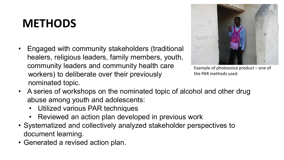#### **METHODS**

• Engaged with community stakeholders (traditional healers, religious leaders, family members, youth, community leaders and community health care workers) to deliberate over their previously nominated topic.



Example of photovoice product – one of the PAR methods used

- A series of workshops on the nominated topic of alcohol and other drug abuse among youth and adolescents:
	- Utilized various PAR techniques
	- Reviewed an action plan developed in previous work
- Systematized and collectively analyzed stakeholder perspectives to document learning.
- Generated a revised action plan.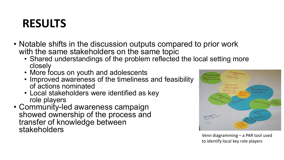### **RESULTS**

- Notable shifts in the discussion outputs compared to prior work with the same stakeholders on the same topic
	- Shared understandings of the problem reflected the local setting more closely
	- More focus on youth and adolescents
	- Improved awareness of the timeliness and feasibility of actions nominated
	- Local stakeholders were identified as key role players
- Community-led awareness campaign showed ownership of the process and transfer of knowledge between stakeholders



Venn diagramming – a PAR tool used to identify local key role players